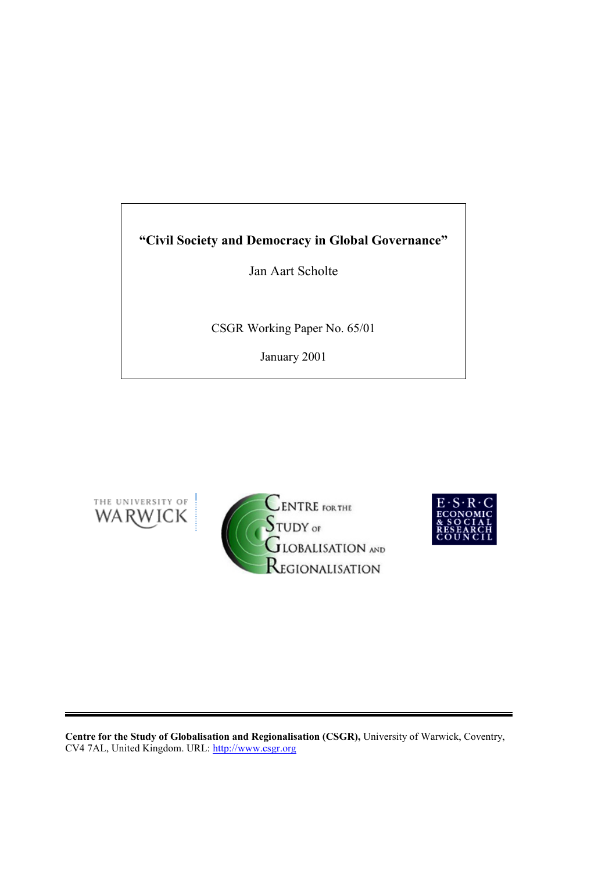# **"Civil Society and Democracy in Global Governance"**

Jan Aart Scholte

CSGR Working Paper No. 65/01

January 2001







**Centre for the Study of Globalisation and Regionalisation (CSGR),** University of Warwick, Coventry, CV4 7AL, United Kingdom. URL: http://www.csgr.org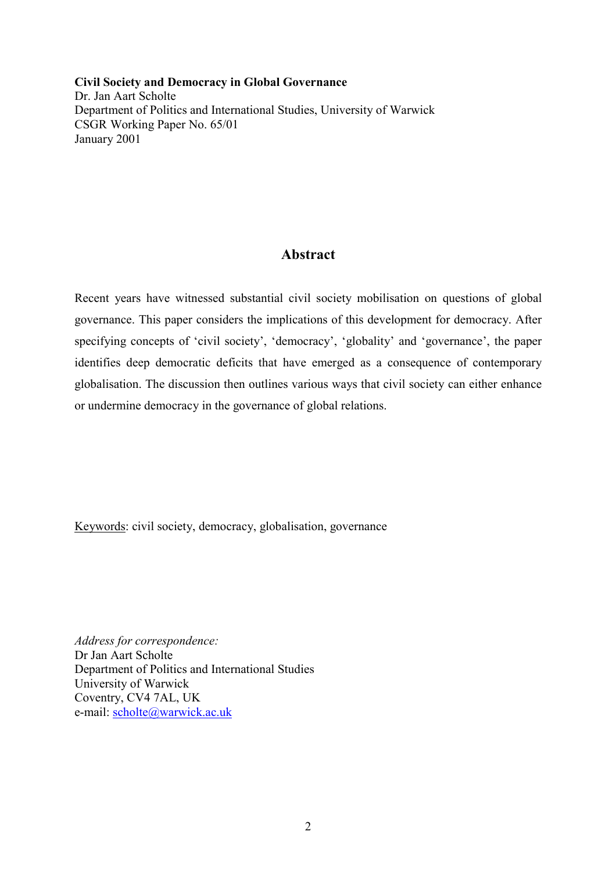**Civil Society and Democracy in Global Governance** Dr. Jan Aart Scholte Department of Politics and International Studies, University of Warwick CSGR Working Paper No. 65/01 January 2001

## **Abstract**

Recent years have witnessed substantial civil society mobilisation on questions of global governance. This paper considers the implications of this development for democracy. After specifying concepts of 'civil society', 'democracy', 'globality' and 'governance', the paper identifies deep democratic deficits that have emerged as a consequence of contemporary globalisation. The discussion then outlines various ways that civil society can either enhance or undermine democracy in the governance of global relations.

Keywords: civil society, democracy, globalisation, governance

*Address for correspondence:* Dr Jan Aart Scholte Department of Politics and International Studies University of Warwick Coventry, CV4 7AL, UK e-mail: scholte@warwick.ac.uk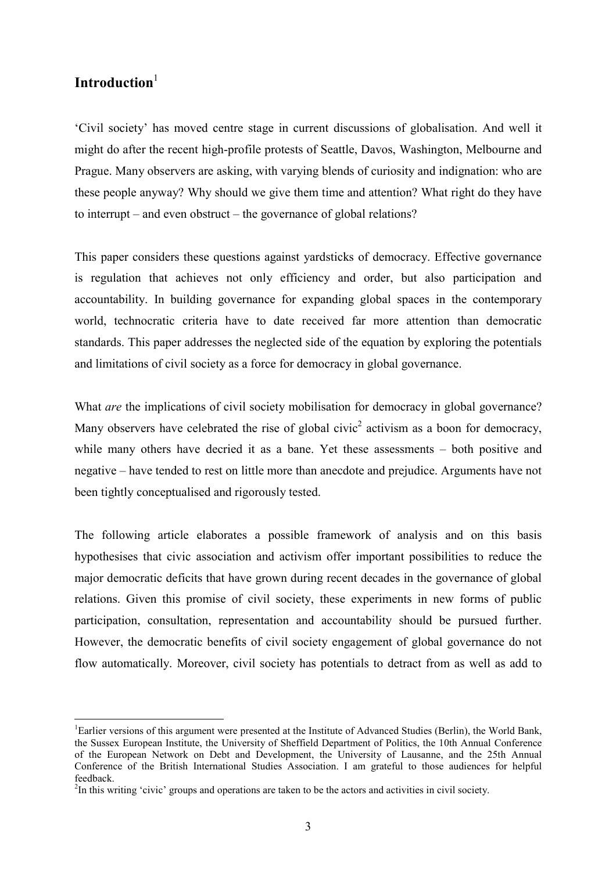### Introduction<sup>1</sup>

 $\overline{a}$ 

'Civil society' has moved centre stage in current discussions of globalisation. And well it might do after the recent high-profile protests of Seattle, Davos, Washington, Melbourne and Prague. Many observers are asking, with varying blends of curiosity and indignation: who are these people anyway? Why should we give them time and attention? What right do they have to interrupt – and even obstruct – the governance of global relations?

This paper considers these questions against yardsticks of democracy. Effective governance is regulation that achieves not only efficiency and order, but also participation and accountability. In building governance for expanding global spaces in the contemporary world, technocratic criteria have to date received far more attention than democratic standards. This paper addresses the neglected side of the equation by exploring the potentials and limitations of civil society as a force for democracy in global governance.

What *are* the implications of civil society mobilisation for democracy in global governance? Many observers have celebrated the rise of global civic<sup>2</sup> activism as a boon for democracy, while many others have decried it as a bane. Yet these assessments – both positive and negative – have tended to rest on little more than anecdote and prejudice. Arguments have not been tightly conceptualised and rigorously tested.

The following article elaborates a possible framework of analysis and on this basis hypothesises that civic association and activism offer important possibilities to reduce the major democratic deficits that have grown during recent decades in the governance of global relations. Given this promise of civil society, these experiments in new forms of public participation, consultation, representation and accountability should be pursued further. However, the democratic benefits of civil society engagement of global governance do not flow automatically. Moreover, civil society has potentials to detract from as well as add to

<sup>&</sup>lt;sup>1</sup>Earlier versions of this argument were presented at the Institute of Advanced Studies (Berlin), the World Bank, the Sussex European Institute, the University of Sheffield Department of Politics, the 10th Annual Conference of the European Network on Debt and Development, the University of Lausanne, and the 25th Annual Conference of the British International Studies Association. I am grateful to those audiences for helpful feedback.

 $2^{2}$ In this writing 'civic' groups and operations are taken to be the actors and activities in civil society.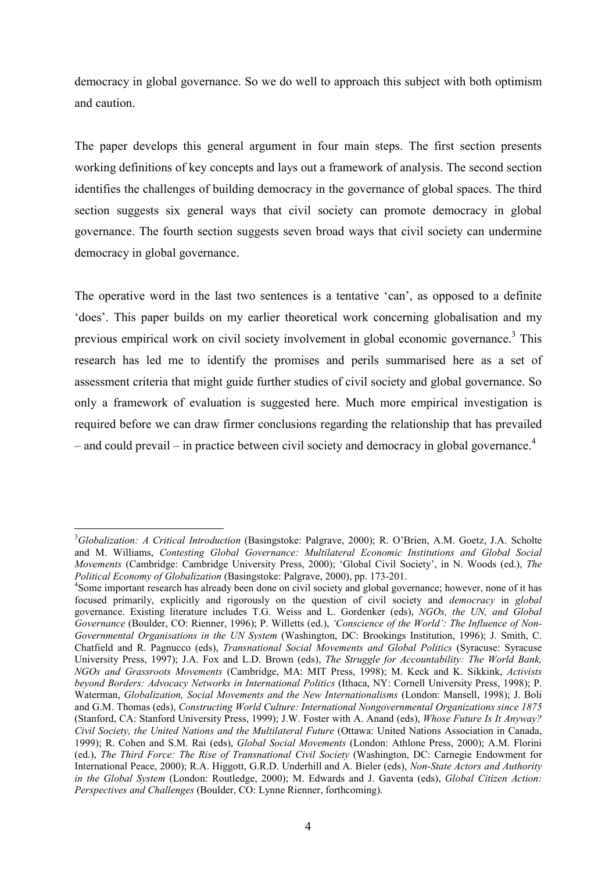democracy in global governance. So we do well to approach this subject with both optimism and caution.

The paper develops this general argument in four main steps. The first section presents working definitions of key concepts and lays out a framework of analysis. The second section identifies the challenges of building democracy in the governance of global spaces. The third section suggests six general ways that civil society can promote democracy in global governance. The fourth section suggests seven broad ways that civil society can undermine democracy in global governance.

The operative word in the last two sentences is a tentative 'can', as opposed to a definite 'does'. This paper builds on my earlier theoretical work concerning globalisation and my previous empirical work on civil society involvement in global economic governance.<sup>3</sup> This research has led me to identify the promises and perils summarised here as a set of assessment criteria that might guide further studies of civil society and global governance. So only a framework of evaluation is suggested here. Much more empirical investigation is required before we can draw firmer conclusions regarding the relationship that has prevailed – and could prevail – in practice between civil society and democracy in global governance.<sup>4</sup>

 $\overline{a}$ 3 *Globalization: A Critical Introduction* (Basingstoke: Palgrave, 2000); R. O'Brien, A.M. Goetz, J.A. Scholte and M. Williams, *Contesting Global Governance: Multilateral Economic Institutions and Global Social Movements* (Cambridge: Cambridge University Press, 2000); 'Global Civil Society', in N. Woods (ed.), *The Political Economy of Globalization* (Basingstoke: Palgrave, 2000), pp. 173-201. 4

<sup>&</sup>lt;sup>4</sup>Some important research has already been done on civil society and global governance; however, none of it has focused primarily, explicitly and rigorously on the question of civil society and *democracy* in *global* governance. Existing literature includes T.G. Weiss and L. Gordenker (eds), *NGOs, the UN, and Global Governance* (Boulder, CO: Rienner, 1996); P. Willetts (ed.), *'Conscience of the World': The Influence of Non-Governmental Organisations in the UN System* (Washington, DC: Brookings Institution, 1996); J. Smith, C. Chatfield and R. Pagnucco (eds), *Transnational Social Movements and Global Politics* (Syracuse: Syracuse University Press, 1997); J.A. Fox and L.D. Brown (eds), *The Struggle for Accountability: The World Bank, NGOs and Grassroots Movements* (Cambridge, MA: MIT Press, 1998); M. Keck and K. Sikkink, *Activists beyond Borders: Advocacy Networks in International Politics* (Ithaca, NY: Cornell University Press, 1998); P. Waterman, *Globalization, Social Movements and the New Internationalisms* (London: Mansell, 1998); J. Boli and G.M. Thomas (eds), *Constructing World Culture: International Nongovernmental Organizations since 1875* (Stanford, CA: Stanford University Press, 1999); J.W. Foster with A. Anand (eds), *Whose Future Is It Anyway? Civil Society, the United Nations and the Multilateral Future* (Ottawa: United Nations Association in Canada, 1999); R. Cohen and S.M. Rai (eds), *Global Social Movements* (London: Athlone Press, 2000); A.M. Florini (ed.), *The Third Force: The Rise of Transnational Civil Society* (Washington, DC: Carnegie Endowment for International Peace, 2000); R.A. Higgott, G.R.D. Underhill and A. Bieler (eds), *Non-State Actors and Authority in the Global System* (London: Routledge, 2000); M. Edwards and J. Gaventa (eds), *Global Citizen Action: Perspectives and Challenges* (Boulder, CO: Lynne Rienner, forthcoming).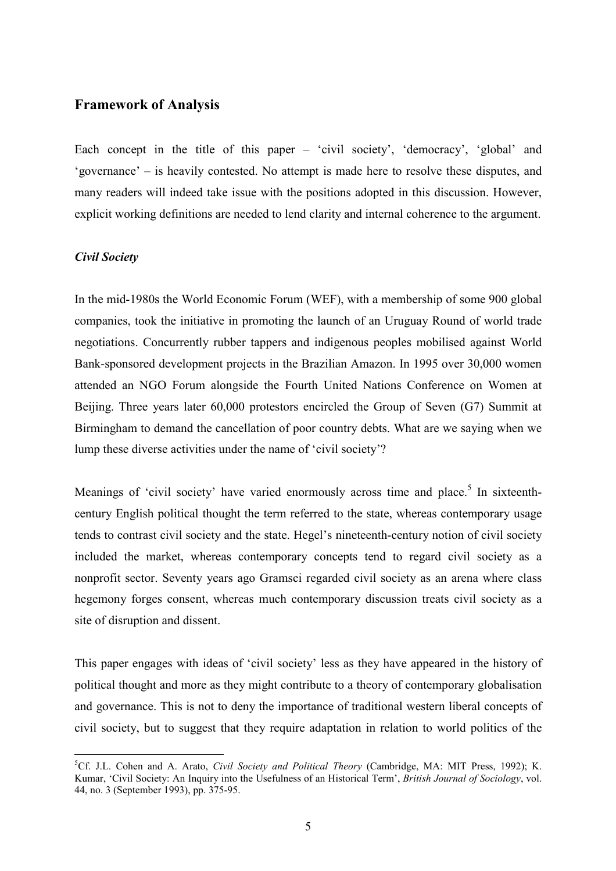### **Framework of Analysis**

Each concept in the title of this paper – 'civil society', 'democracy', 'global' and 'governance' – is heavily contested. No attempt is made here to resolve these disputes, and many readers will indeed take issue with the positions adopted in this discussion. However, explicit working definitions are needed to lend clarity and internal coherence to the argument.

#### *Civil Society*

 $\overline{a}$ 

In the mid-1980s the World Economic Forum (WEF), with a membership of some 900 global companies, took the initiative in promoting the launch of an Uruguay Round of world trade negotiations. Concurrently rubber tappers and indigenous peoples mobilised against World Bank-sponsored development projects in the Brazilian Amazon. In 1995 over 30,000 women attended an NGO Forum alongside the Fourth United Nations Conference on Women at Beijing. Three years later 60,000 protestors encircled the Group of Seven (G7) Summit at Birmingham to demand the cancellation of poor country debts. What are we saying when we lump these diverse activities under the name of 'civil society'?

Meanings of 'civil society' have varied enormously across time and place.<sup>5</sup> In sixteenthcentury English political thought the term referred to the state, whereas contemporary usage tends to contrast civil society and the state. Hegel's nineteenth-century notion of civil society included the market, whereas contemporary concepts tend to regard civil society as a nonprofit sector. Seventy years ago Gramsci regarded civil society as an arena where class hegemony forges consent, whereas much contemporary discussion treats civil society as a site of disruption and dissent.

This paper engages with ideas of 'civil society' less as they have appeared in the history of political thought and more as they might contribute to a theory of contemporary globalisation and governance. This is not to deny the importance of traditional western liberal concepts of civil society, but to suggest that they require adaptation in relation to world politics of the

<sup>5</sup> Cf. J.L. Cohen and A. Arato, *Civil Society and Political Theory* (Cambridge, MA: MIT Press, 1992); K. Kumar, 'Civil Society: An Inquiry into the Usefulness of an Historical Term', *British Journal of Sociology*, vol. 44, no. 3 (September 1993), pp. 375-95.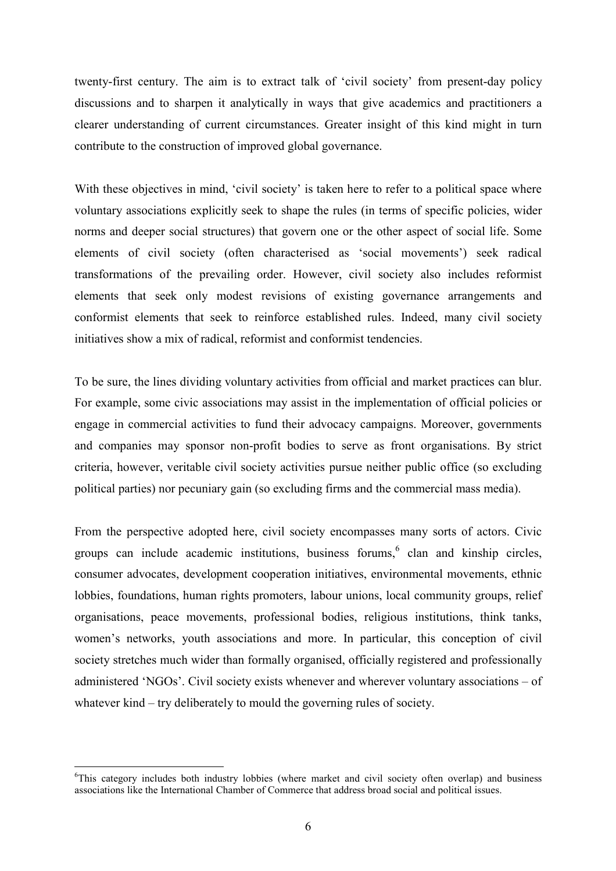twenty-first century. The aim is to extract talk of 'civil society' from present-day policy discussions and to sharpen it analytically in ways that give academics and practitioners a clearer understanding of current circumstances. Greater insight of this kind might in turn contribute to the construction of improved global governance.

With these objectives in mind, 'civil society' is taken here to refer to a political space where voluntary associations explicitly seek to shape the rules (in terms of specific policies, wider norms and deeper social structures) that govern one or the other aspect of social life. Some elements of civil society (often characterised as 'social movements') seek radical transformations of the prevailing order. However, civil society also includes reformist elements that seek only modest revisions of existing governance arrangements and conformist elements that seek to reinforce established rules. Indeed, many civil society initiatives show a mix of radical, reformist and conformist tendencies.

To be sure, the lines dividing voluntary activities from official and market practices can blur. For example, some civic associations may assist in the implementation of official policies or engage in commercial activities to fund their advocacy campaigns. Moreover, governments and companies may sponsor non-profit bodies to serve as front organisations. By strict criteria, however, veritable civil society activities pursue neither public office (so excluding political parties) nor pecuniary gain (so excluding firms and the commercial mass media).

From the perspective adopted here, civil society encompasses many sorts of actors. Civic groups can include academic institutions, business forums,  $6$  clan and kinship circles, consumer advocates, development cooperation initiatives, environmental movements, ethnic lobbies, foundations, human rights promoters, labour unions, local community groups, relief organisations, peace movements, professional bodies, religious institutions, think tanks, women's networks, youth associations and more. In particular, this conception of civil society stretches much wider than formally organised, officially registered and professionally administered 'NGOs'. Civil society exists whenever and wherever voluntary associations – of whatever kind – try deliberately to mould the governing rules of society.

 $\overline{a}$ 

<sup>&</sup>lt;sup>6</sup>This category includes both industry lobbies (where market and civil society often overlap) and business associations like the International Chamber of Commerce that address broad social and political issues.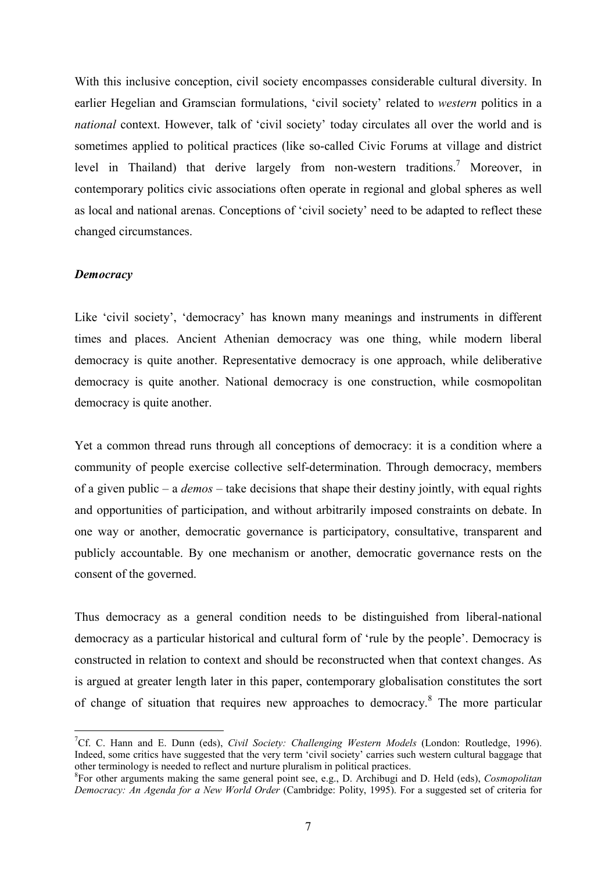With this inclusive conception, civil society encompasses considerable cultural diversity. In earlier Hegelian and Gramscian formulations, 'civil society' related to *western* politics in a *national* context. However, talk of 'civil society' today circulates all over the world and is sometimes applied to political practices (like so-called Civic Forums at village and district level in Thailand) that derive largely from non-western traditions.<sup>7</sup> Moreover, in contemporary politics civic associations often operate in regional and global spheres as well as local and national arenas. Conceptions of 'civil society' need to be adapted to reflect these changed circumstances.

#### *Democracy*

 $\overline{a}$ 

Like 'civil society', 'democracy' has known many meanings and instruments in different times and places. Ancient Athenian democracy was one thing, while modern liberal democracy is quite another. Representative democracy is one approach, while deliberative democracy is quite another. National democracy is one construction, while cosmopolitan democracy is quite another.

Yet a common thread runs through all conceptions of democracy: it is a condition where a community of people exercise collective self-determination. Through democracy, members of a given public – a *demos* – take decisions that shape their destiny jointly, with equal rights and opportunities of participation, and without arbitrarily imposed constraints on debate. In one way or another, democratic governance is participatory, consultative, transparent and publicly accountable. By one mechanism or another, democratic governance rests on the consent of the governed.

Thus democracy as a general condition needs to be distinguished from liberal-national democracy as a particular historical and cultural form of 'rule by the people'. Democracy is constructed in relation to context and should be reconstructed when that context changes. As is argued at greater length later in this paper, contemporary globalisation constitutes the sort of change of situation that requires new approaches to democracy.<sup>8</sup> The more particular

<sup>7</sup> Cf. C. Hann and E. Dunn (eds), *Civil Society: Challenging Western Models* (London: Routledge, 1996). Indeed, some critics have suggested that the very term 'civil society' carries such western cultural baggage that other terminology is needed to reflect and nurture pluralism in political practices.

<sup>8</sup> For other arguments making the same general point see, e.g., D. Archibugi and D. Held (eds), *Cosmopolitan Democracy: An Agenda for a New World Order* (Cambridge: Polity, 1995). For a suggested set of criteria for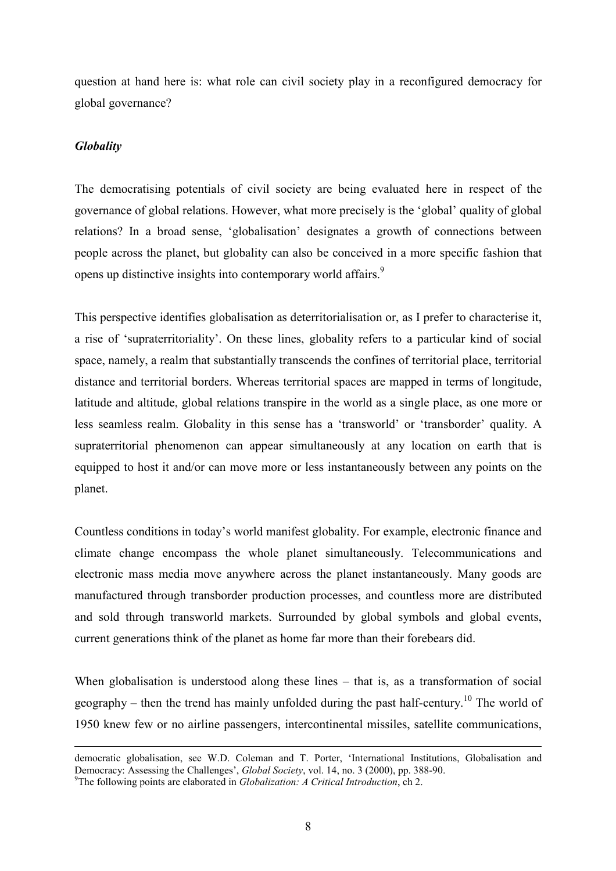question at hand here is: what role can civil society play in a reconfigured democracy for global governance?

#### *Globality*

The democratising potentials of civil society are being evaluated here in respect of the governance of global relations. However, what more precisely is the 'global' quality of global relations? In a broad sense, 'globalisation' designates a growth of connections between people across the planet, but globality can also be conceived in a more specific fashion that opens up distinctive insights into contemporary world affairs.<sup>9</sup>

This perspective identifies globalisation as deterritorialisation or, as I prefer to characterise it, a rise of 'supraterritoriality'. On these lines, globality refers to a particular kind of social space, namely, a realm that substantially transcends the confines of territorial place, territorial distance and territorial borders. Whereas territorial spaces are mapped in terms of longitude, latitude and altitude, global relations transpire in the world as a single place, as one more or less seamless realm. Globality in this sense has a 'transworld' or 'transborder' quality. A supraterritorial phenomenon can appear simultaneously at any location on earth that is equipped to host it and/or can move more or less instantaneously between any points on the planet.

Countless conditions in today's world manifest globality. For example, electronic finance and climate change encompass the whole planet simultaneously. Telecommunications and electronic mass media move anywhere across the planet instantaneously. Many goods are manufactured through transborder production processes, and countless more are distributed and sold through transworld markets. Surrounded by global symbols and global events, current generations think of the planet as home far more than their forebears did.

When globalisation is understood along these lines – that is, as a transformation of social geography – then the trend has mainly unfolded during the past half-century.<sup>10</sup> The world of 1950 knew few or no airline passengers, intercontinental missiles, satellite communications,

democratic globalisation, see W.D. Coleman and T. Porter, 'International Institutions, Globalisation and Democracy: Assessing the Challenges', *Global Society*, vol. 14, no. 3 (2000), pp. 388-90.

The following points are elaborated in *Globalization: A Critical Introduction*, ch 2.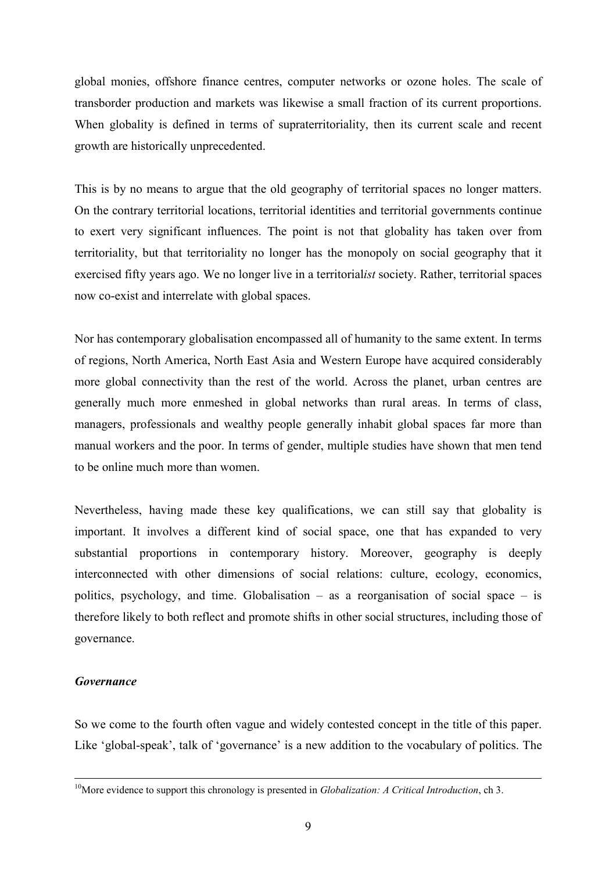global monies, offshore finance centres, computer networks or ozone holes. The scale of transborder production and markets was likewise a small fraction of its current proportions. When globality is defined in terms of supraterritoriality, then its current scale and recent growth are historically unprecedented.

This is by no means to argue that the old geography of territorial spaces no longer matters. On the contrary territorial locations, territorial identities and territorial governments continue to exert very significant influences. The point is not that globality has taken over from territoriality, but that territoriality no longer has the monopoly on social geography that it exercised fifty years ago. We no longer live in a territorial*ist* society. Rather, territorial spaces now co-exist and interrelate with global spaces.

Nor has contemporary globalisation encompassed all of humanity to the same extent. In terms of regions, North America, North East Asia and Western Europe have acquired considerably more global connectivity than the rest of the world. Across the planet, urban centres are generally much more enmeshed in global networks than rural areas. In terms of class, managers, professionals and wealthy people generally inhabit global spaces far more than manual workers and the poor. In terms of gender, multiple studies have shown that men tend to be online much more than women.

Nevertheless, having made these key qualifications, we can still say that globality is important. It involves a different kind of social space, one that has expanded to very substantial proportions in contemporary history. Moreover, geography is deeply interconnected with other dimensions of social relations: culture, ecology, economics, politics, psychology, and time. Globalisation – as a reorganisation of social space – is therefore likely to both reflect and promote shifts in other social structures, including those of governance.

#### *Governance*

So we come to the fourth often vague and widely contested concept in the title of this paper. Like 'global-speak', talk of 'governance' is a new addition to the vocabulary of politics. The

<sup>&</sup>lt;sup>10</sup>More evidence to support this chronology is presented in *Globalization: A Critical Introduction*, ch 3.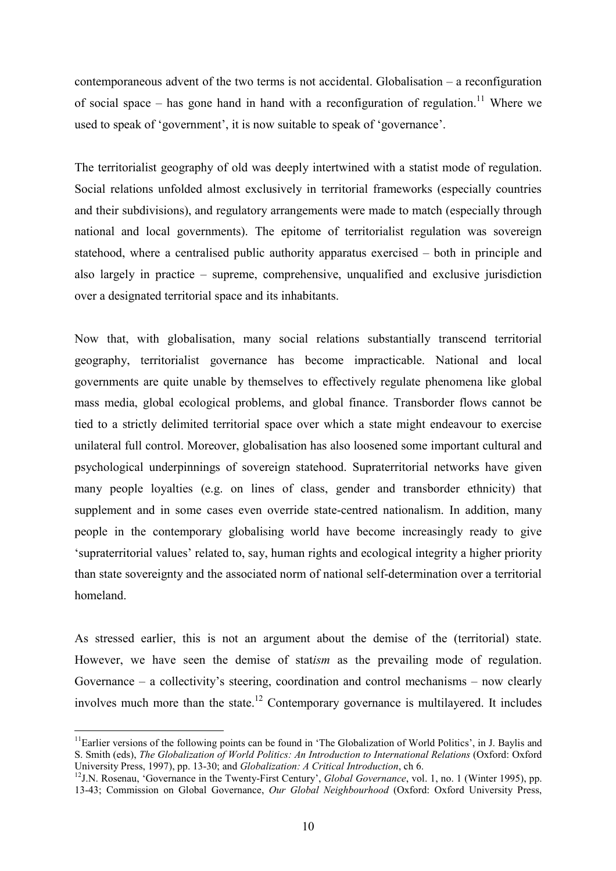contemporaneous advent of the two terms is not accidental. Globalisation – a reconfiguration of social space – has gone hand in hand with a reconfiguration of regulation.<sup>11</sup> Where we used to speak of 'government', it is now suitable to speak of 'governance'.

The territorialist geography of old was deeply intertwined with a statist mode of regulation. Social relations unfolded almost exclusively in territorial frameworks (especially countries and their subdivisions), and regulatory arrangements were made to match (especially through national and local governments). The epitome of territorialist regulation was sovereign statehood, where a centralised public authority apparatus exercised – both in principle and also largely in practice – supreme, comprehensive, unqualified and exclusive jurisdiction over a designated territorial space and its inhabitants.

Now that, with globalisation, many social relations substantially transcend territorial geography, territorialist governance has become impracticable. National and local governments are quite unable by themselves to effectively regulate phenomena like global mass media, global ecological problems, and global finance. Transborder flows cannot be tied to a strictly delimited territorial space over which a state might endeavour to exercise unilateral full control. Moreover, globalisation has also loosened some important cultural and psychological underpinnings of sovereign statehood. Supraterritorial networks have given many people loyalties (e.g. on lines of class, gender and transborder ethnicity) that supplement and in some cases even override state-centred nationalism. In addition, many people in the contemporary globalising world have become increasingly ready to give 'supraterritorial values' related to, say, human rights and ecological integrity a higher priority than state sovereignty and the associated norm of national self-determination over a territorial homeland.

As stressed earlier, this is not an argument about the demise of the (territorial) state. However, we have seen the demise of stat*ism* as the prevailing mode of regulation. Governance – a collectivity's steering, coordination and control mechanisms – now clearly involves much more than the state.<sup>12</sup> Contemporary governance is multilayered. It includes

 $\overline{a}$ 

<sup>&</sup>lt;sup>11</sup>Earlier versions of the following points can be found in 'The Globalization of World Politics', in J. Baylis and S. Smith (eds), *The Globalization of World Politics: An Introduction to International Relations* (Oxford: Oxford<br>University Press, 1997), pp. 13-30; and *Globalization: A Critical Introduction*, ch 6.

<sup>&</sup>lt;sup>12</sup>J.N. Rosenau, 'Governance in the Twenty-First Century', *Global Governance*, vol. 1, no. 1 (Winter 1995), pp. 13-43; Commission on Global Governance, *Our Global Neighbourhood* (Oxford: Oxford University Press,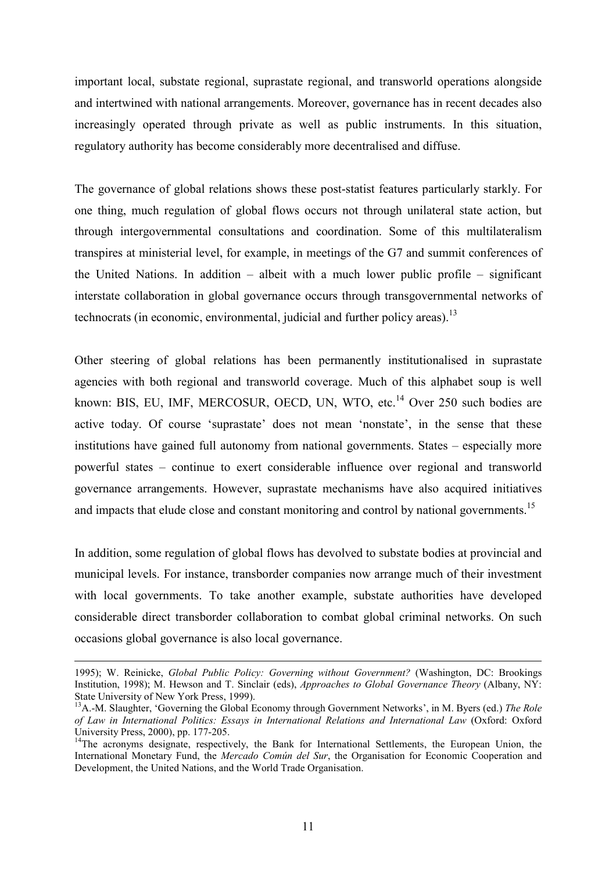important local, substate regional, suprastate regional, and transworld operations alongside and intertwined with national arrangements. Moreover, governance has in recent decades also increasingly operated through private as well as public instruments. In this situation, regulatory authority has become considerably more decentralised and diffuse.

The governance of global relations shows these post-statist features particularly starkly. For one thing, much regulation of global flows occurs not through unilateral state action, but through intergovernmental consultations and coordination. Some of this multilateralism transpires at ministerial level, for example, in meetings of the G7 and summit conferences of the United Nations. In addition – albeit with a much lower public profile – significant interstate collaboration in global governance occurs through transgovernmental networks of technocrats (in economic, environmental, judicial and further policy areas).<sup>13</sup>

Other steering of global relations has been permanently institutionalised in suprastate agencies with both regional and transworld coverage. Much of this alphabet soup is well known: BIS, EU, IMF, MERCOSUR, OECD, UN, WTO, etc.<sup>14</sup> Over 250 such bodies are active today. Of course 'suprastate' does not mean 'nonstate', in the sense that these institutions have gained full autonomy from national governments. States – especially more powerful states – continue to exert considerable influence over regional and transworld governance arrangements. However, suprastate mechanisms have also acquired initiatives and impacts that elude close and constant monitoring and control by national governments.<sup>15</sup>

In addition, some regulation of global flows has devolved to substate bodies at provincial and municipal levels. For instance, transborder companies now arrange much of their investment with local governments. To take another example, substate authorities have developed considerable direct transborder collaboration to combat global criminal networks. On such occasions global governance is also local governance.

 <sup>1995);</sup> W. Reinicke, *Global Public Policy: Governing without Government?* (Washington, DC: Brookings Institution, 1998); M. Hewson and T. Sinclair (eds), *Approaches to Global Governance Theory* (Albany, NY: State University of New York Press, 1999).

<sup>13</sup>A.-M. Slaughter, 'Governing the Global Economy through Government Networks', in M. Byers (ed.) *The Role of Law in International Politics: Essays in International Relations and International Law* (Oxford: Oxford University Press, 2000), pp. 177-205.

<sup>&</sup>lt;sup>14</sup>The acronyms designate, respectively, the Bank for International Settlements, the European Union, the International Monetary Fund, the *Mercado Común del Sur*, the Organisation for Economic Cooperation and Development, the United Nations, and the World Trade Organisation.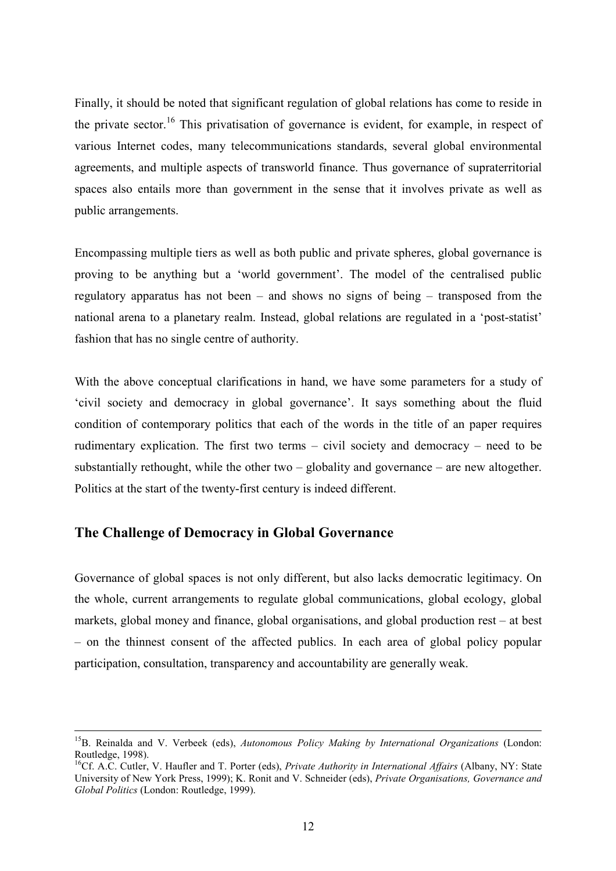Finally, it should be noted that significant regulation of global relations has come to reside in the private sector.<sup>16</sup> This privatisation of governance is evident, for example, in respect of various Internet codes, many telecommunications standards, several global environmental agreements, and multiple aspects of transworld finance. Thus governance of supraterritorial spaces also entails more than government in the sense that it involves private as well as public arrangements.

Encompassing multiple tiers as well as both public and private spheres, global governance is proving to be anything but a 'world government'. The model of the centralised public regulatory apparatus has not been – and shows no signs of being – transposed from the national arena to a planetary realm. Instead, global relations are regulated in a 'post-statist' fashion that has no single centre of authority.

With the above conceptual clarifications in hand, we have some parameters for a study of 'civil society and democracy in global governance'. It says something about the fluid condition of contemporary politics that each of the words in the title of an paper requires rudimentary explication. The first two terms – civil society and democracy – need to be substantially rethought, while the other two  $-$  globality and governance  $-$  are new altogether. Politics at the start of the twenty-first century is indeed different.

## **The Challenge of Democracy in Global Governance**

Governance of global spaces is not only different, but also lacks democratic legitimacy. On the whole, current arrangements to regulate global communications, global ecology, global markets, global money and finance, global organisations, and global production rest – at best – on the thinnest consent of the affected publics. In each area of global policy popular participation, consultation, transparency and accountability are generally weak.

 <sup>15</sup>B. Reinalda and V. Verbeek (eds), *Autonomous Policy Making by International Organizations* (London: Routledge, 1998).

<sup>&</sup>lt;sup>16</sup>Cf. A.C. Cutler, V. Haufler and T. Porter (eds), *Private Authority in International Affairs* (Albany, NY: State University of New York Press, 1999); K. Ronit and V. Schneider (eds), *Private Organisations, Governance and Global Politics* (London: Routledge, 1999).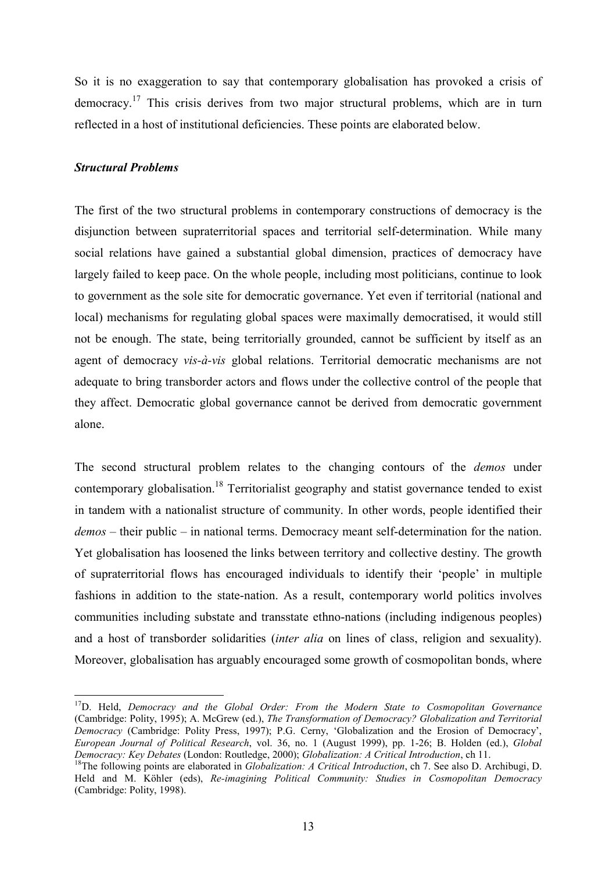So it is no exaggeration to say that contemporary globalisation has provoked a crisis of democracy.17 This crisis derives from two major structural problems, which are in turn reflected in a host of institutional deficiencies. These points are elaborated below.

#### *Structural Problems*

 $\overline{a}$ 

The first of the two structural problems in contemporary constructions of democracy is the disjunction between supraterritorial spaces and territorial self-determination. While many social relations have gained a substantial global dimension, practices of democracy have largely failed to keep pace. On the whole people, including most politicians, continue to look to government as the sole site for democratic governance. Yet even if territorial (national and local) mechanisms for regulating global spaces were maximally democratised, it would still not be enough. The state, being territorially grounded, cannot be sufficient by itself as an agent of democracy *vis-à-vis* global relations. Territorial democratic mechanisms are not adequate to bring transborder actors and flows under the collective control of the people that they affect. Democratic global governance cannot be derived from democratic government alone.

The second structural problem relates to the changing contours of the *demos* under contemporary globalisation.<sup>18</sup> Territorialist geography and statist governance tended to exist in tandem with a nationalist structure of community. In other words, people identified their *demos* – their public – in national terms. Democracy meant self-determination for the nation. Yet globalisation has loosened the links between territory and collective destiny. The growth of supraterritorial flows has encouraged individuals to identify their 'people' in multiple fashions in addition to the state-nation. As a result, contemporary world politics involves communities including substate and transstate ethno-nations (including indigenous peoples) and a host of transborder solidarities (*inter alia* on lines of class, religion and sexuality). Moreover, globalisation has arguably encouraged some growth of cosmopolitan bonds, where

<sup>&</sup>lt;sup>17</sup>D. Held, *Democracy and the Global Order: From the Modern State to Cosmopolitan Governance* (Cambridge: Polity, 1995); A. McGrew (ed.), *The Transformation of Democracy? Globalization and Territorial Democracy* (Cambridge: Polity Press, 1997); P.G. Cerny, 'Globalization and the Erosion of Democracy', *European Journal of Political Research*, vol. 36, no. 1 (August 1999), pp. 1-26; B. Holden (ed.), *Global* 

<sup>&</sup>lt;sup>18</sup>The following points are elaborated in *Globalization: A Critical Introduction*, ch 7. See also D. Archibugi, D. Held and M. Köhler (eds), *Re-imagining Political Community: Studies in Cosmopolitan Democracy* (Cambridge: Polity, 1998).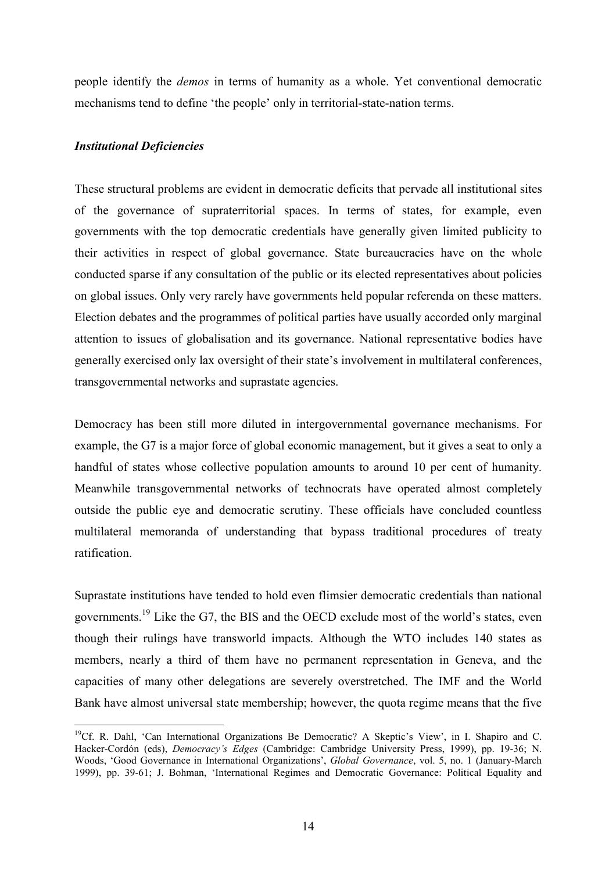people identify the *demos* in terms of humanity as a whole. Yet conventional democratic mechanisms tend to define 'the people' only in territorial-state-nation terms.

#### *Institutional Deficiencies*

 $\overline{a}$ 

These structural problems are evident in democratic deficits that pervade all institutional sites of the governance of supraterritorial spaces. In terms of states, for example, even governments with the top democratic credentials have generally given limited publicity to their activities in respect of global governance. State bureaucracies have on the whole conducted sparse if any consultation of the public or its elected representatives about policies on global issues. Only very rarely have governments held popular referenda on these matters. Election debates and the programmes of political parties have usually accorded only marginal attention to issues of globalisation and its governance. National representative bodies have generally exercised only lax oversight of their state's involvement in multilateral conferences, transgovernmental networks and suprastate agencies.

Democracy has been still more diluted in intergovernmental governance mechanisms. For example, the G7 is a major force of global economic management, but it gives a seat to only a handful of states whose collective population amounts to around 10 per cent of humanity. Meanwhile transgovernmental networks of technocrats have operated almost completely outside the public eye and democratic scrutiny. These officials have concluded countless multilateral memoranda of understanding that bypass traditional procedures of treaty ratification.

Suprastate institutions have tended to hold even flimsier democratic credentials than national governments.<sup>19</sup> Like the G7, the BIS and the OECD exclude most of the world's states, even though their rulings have transworld impacts. Although the WTO includes 140 states as members, nearly a third of them have no permanent representation in Geneva, and the capacities of many other delegations are severely overstretched. The IMF and the World Bank have almost universal state membership; however, the quota regime means that the five

<sup>&</sup>lt;sup>19</sup>Cf. R. Dahl, 'Can International Organizations Be Democratic? A Skeptic's View', in I. Shapiro and C. Hacker-Cordón (eds), *Democracy's Edges* (Cambridge: Cambridge University Press, 1999), pp. 19-36; N. Woods, 'Good Governance in International Organizations', *Global Governance*, vol. 5, no. 1 (January-March 1999), pp. 39-61; J. Bohman, 'International Regimes and Democratic Governance: Political Equality and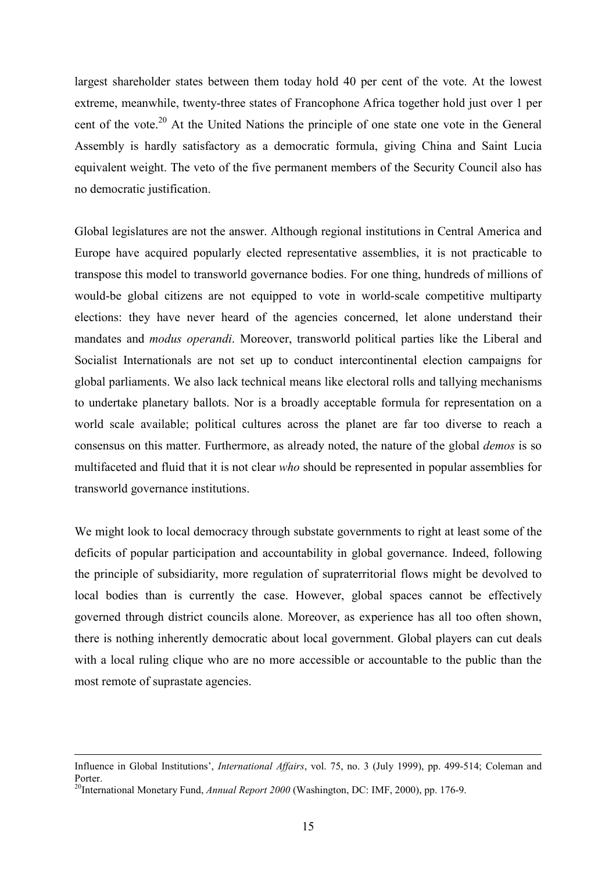largest shareholder states between them today hold 40 per cent of the vote. At the lowest extreme, meanwhile, twenty-three states of Francophone Africa together hold just over 1 per cent of the vote.<sup>20</sup> At the United Nations the principle of one state one vote in the General Assembly is hardly satisfactory as a democratic formula, giving China and Saint Lucia equivalent weight. The veto of the five permanent members of the Security Council also has no democratic justification.

Global legislatures are not the answer. Although regional institutions in Central America and Europe have acquired popularly elected representative assemblies, it is not practicable to transpose this model to transworld governance bodies. For one thing, hundreds of millions of would-be global citizens are not equipped to vote in world-scale competitive multiparty elections: they have never heard of the agencies concerned, let alone understand their mandates and *modus operandi*. Moreover, transworld political parties like the Liberal and Socialist Internationals are not set up to conduct intercontinental election campaigns for global parliaments. We also lack technical means like electoral rolls and tallying mechanisms to undertake planetary ballots. Nor is a broadly acceptable formula for representation on a world scale available; political cultures across the planet are far too diverse to reach a consensus on this matter. Furthermore, as already noted, the nature of the global *demos* is so multifaceted and fluid that it is not clear *who* should be represented in popular assemblies for transworld governance institutions.

We might look to local democracy through substate governments to right at least some of the deficits of popular participation and accountability in global governance. Indeed, following the principle of subsidiarity, more regulation of supraterritorial flows might be devolved to local bodies than is currently the case. However, global spaces cannot be effectively governed through district councils alone. Moreover, as experience has all too often shown, there is nothing inherently democratic about local government. Global players can cut deals with a local ruling clique who are no more accessible or accountable to the public than the most remote of suprastate agencies.

Influence in Global Institutions', *International Affairs*, vol. 75, no. 3 (July 1999), pp. 499-514; Coleman and Porter. 20International Monetary Fund, *Annual Report 2000* (Washington, DC: IMF, 2000), pp. 176-9.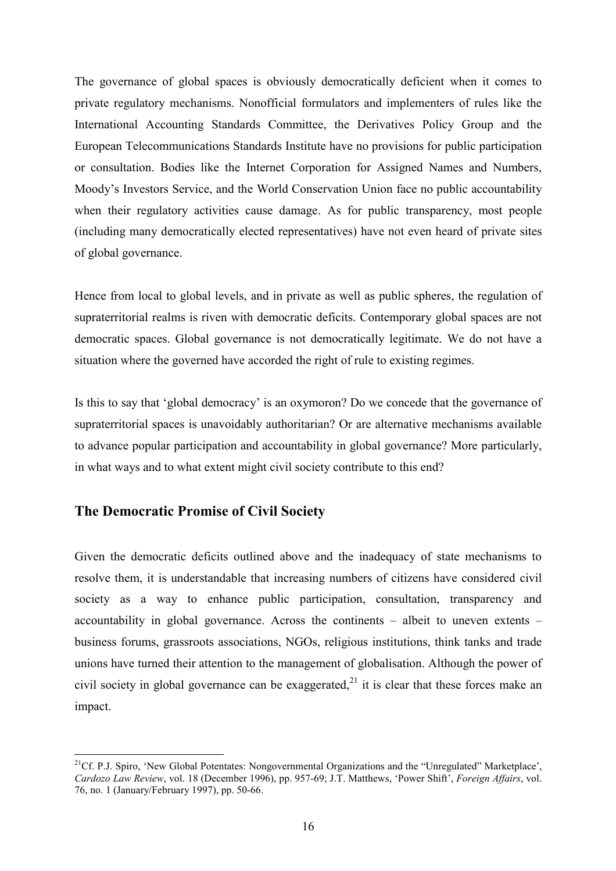The governance of global spaces is obviously democratically deficient when it comes to private regulatory mechanisms. Nonofficial formulators and implementers of rules like the International Accounting Standards Committee, the Derivatives Policy Group and the European Telecommunications Standards Institute have no provisions for public participation or consultation. Bodies like the Internet Corporation for Assigned Names and Numbers, Moody's Investors Service, and the World Conservation Union face no public accountability when their regulatory activities cause damage. As for public transparency, most people (including many democratically elected representatives) have not even heard of private sites of global governance.

Hence from local to global levels, and in private as well as public spheres, the regulation of supraterritorial realms is riven with democratic deficits. Contemporary global spaces are not democratic spaces. Global governance is not democratically legitimate. We do not have a situation where the governed have accorded the right of rule to existing regimes.

Is this to say that 'global democracy' is an oxymoron? Do we concede that the governance of supraterritorial spaces is unavoidably authoritarian? Or are alternative mechanisms available to advance popular participation and accountability in global governance? More particularly, in what ways and to what extent might civil society contribute to this end?

### **The Democratic Promise of Civil Society**

 $\overline{a}$ 

Given the democratic deficits outlined above and the inadequacy of state mechanisms to resolve them, it is understandable that increasing numbers of citizens have considered civil society as a way to enhance public participation, consultation, transparency and accountability in global governance. Across the continents – albeit to uneven extents – business forums, grassroots associations, NGOs, religious institutions, think tanks and trade unions have turned their attention to the management of globalisation. Although the power of civil society in global governance can be exaggerated.<sup>21</sup> it is clear that these forces make an impact.

<sup>&</sup>lt;sup>21</sup>Cf. P.J. Spiro, 'New Global Potentates: Nongovernmental Organizations and the "Unregulated" Marketplace', *Cardozo Law Review*, vol. 18 (December 1996), pp. 957-69; J.T. Matthews, 'Power Shift', *Foreign Affairs*, vol. 76, no. 1 (January/February 1997), pp. 50-66.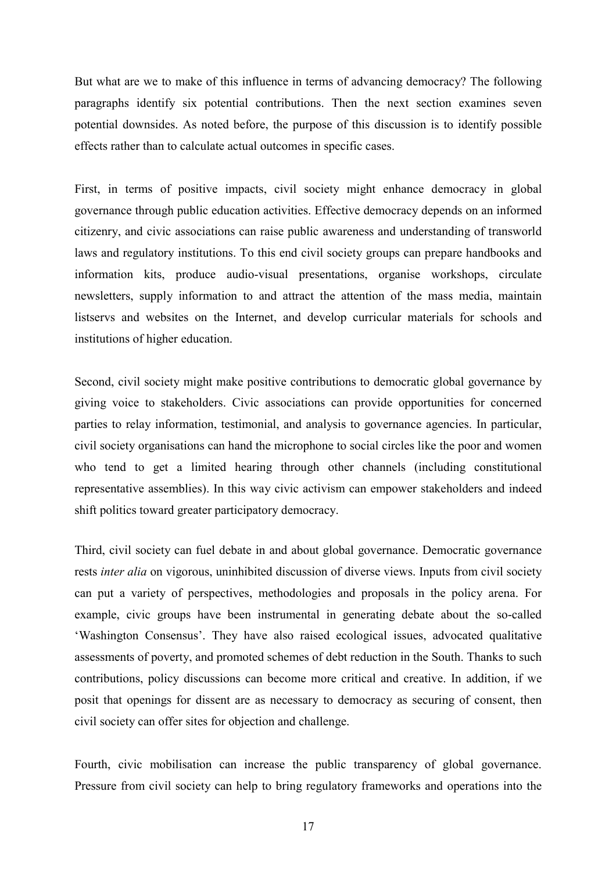But what are we to make of this influence in terms of advancing democracy? The following paragraphs identify six potential contributions. Then the next section examines seven potential downsides. As noted before, the purpose of this discussion is to identify possible effects rather than to calculate actual outcomes in specific cases.

First, in terms of positive impacts, civil society might enhance democracy in global governance through public education activities. Effective democracy depends on an informed citizenry, and civic associations can raise public awareness and understanding of transworld laws and regulatory institutions. To this end civil society groups can prepare handbooks and information kits, produce audio-visual presentations, organise workshops, circulate newsletters, supply information to and attract the attention of the mass media, maintain listservs and websites on the Internet, and develop curricular materials for schools and institutions of higher education.

Second, civil society might make positive contributions to democratic global governance by giving voice to stakeholders. Civic associations can provide opportunities for concerned parties to relay information, testimonial, and analysis to governance agencies. In particular, civil society organisations can hand the microphone to social circles like the poor and women who tend to get a limited hearing through other channels (including constitutional representative assemblies). In this way civic activism can empower stakeholders and indeed shift politics toward greater participatory democracy.

Third, civil society can fuel debate in and about global governance. Democratic governance rests *inter alia* on vigorous, uninhibited discussion of diverse views. Inputs from civil society can put a variety of perspectives, methodologies and proposals in the policy arena. For example, civic groups have been instrumental in generating debate about the so-called 'Washington Consensus'. They have also raised ecological issues, advocated qualitative assessments of poverty, and promoted schemes of debt reduction in the South. Thanks to such contributions, policy discussions can become more critical and creative. In addition, if we posit that openings for dissent are as necessary to democracy as securing of consent, then civil society can offer sites for objection and challenge.

Fourth, civic mobilisation can increase the public transparency of global governance. Pressure from civil society can help to bring regulatory frameworks and operations into the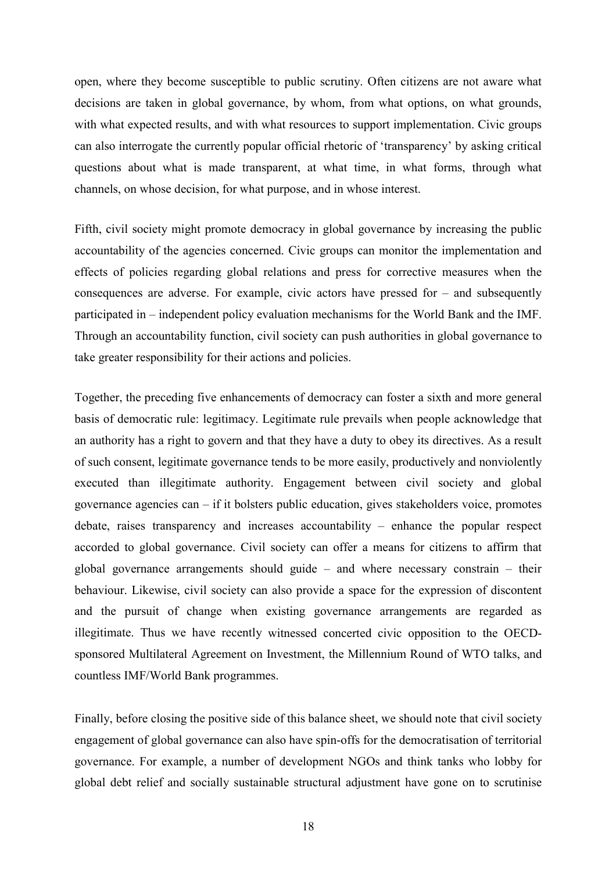open, where they become susceptible to public scrutiny. Often citizens are not aware what decisions are taken in global governance, by whom, from what options, on what grounds, with what expected results, and with what resources to support implementation. Civic groups can also interrogate the currently popular official rhetoric of 'transparency' by asking critical questions about what is made transparent, at what time, in what forms, through what channels, on whose decision, for what purpose, and in whose interest.

Fifth, civil society might promote democracy in global governance by increasing the public accountability of the agencies concerned. Civic groups can monitor the implementation and effects of policies regarding global relations and press for corrective measures when the consequences are adverse. For example, civic actors have pressed for – and subsequently participated in – independent policy evaluation mechanisms for the World Bank and the IMF. Through an accountability function, civil society can push authorities in global governance to take greater responsibility for their actions and policies.

Together, the preceding five enhancements of democracy can foster a sixth and more general basis of democratic rule: legitimacy. Legitimate rule prevails when people acknowledge that an authority has a right to govern and that they have a duty to obey its directives. As a result of such consent, legitimate governance tends to be more easily, productively and nonviolently executed than illegitimate authority. Engagement between civil society and global governance agencies can  $-$  if it bolsters public education, gives stakeholders voice, promotes debate, raises transparency and increases accountability – enhance the popular respect accorded to global governance. Civil society can offer a means for citizens to affirm that global governance arrangements should guide – and where necessary constrain – their behaviour. Likewise, civil society can also provide a space for the expression of discontent and the pursuit of change when existing governance arrangements are regarded as illegitimate. Thus we have recently witnessed concerted civic opposition to the OECDsponsored Multilateral Agreement on Investment, the Millennium Round of WTO talks, and countless IMF/World Bank programmes.

Finally, before closing the positive side of this balance sheet, we should note that civil society engagement of global governance can also have spin-offs for the democratisation of territorial governance. For example, a number of development NGOs and think tanks who lobby for global debt relief and socially sustainable structural adjustment have gone on to scrutinise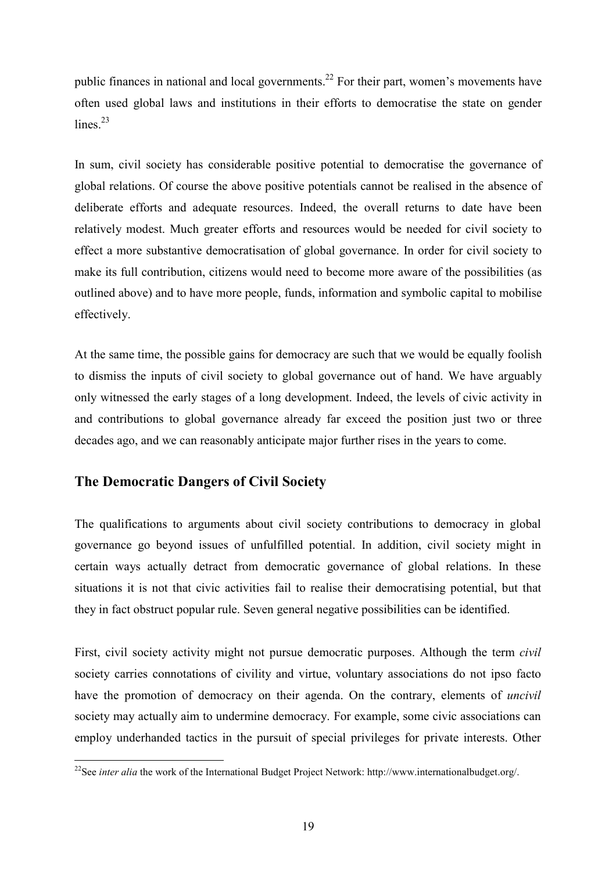public finances in national and local governments.<sup>22</sup> For their part, women's movements have often used global laws and institutions in their efforts to democratise the state on gender lines.<sup>23</sup>

In sum, civil society has considerable positive potential to democratise the governance of global relations. Of course the above positive potentials cannot be realised in the absence of deliberate efforts and adequate resources. Indeed, the overall returns to date have been relatively modest. Much greater efforts and resources would be needed for civil society to effect a more substantive democratisation of global governance. In order for civil society to make its full contribution, citizens would need to become more aware of the possibilities (as outlined above) and to have more people, funds, information and symbolic capital to mobilise effectively.

At the same time, the possible gains for democracy are such that we would be equally foolish to dismiss the inputs of civil society to global governance out of hand. We have arguably only witnessed the early stages of a long development. Indeed, the levels of civic activity in and contributions to global governance already far exceed the position just two or three decades ago, and we can reasonably anticipate major further rises in the years to come.

## **The Democratic Dangers of Civil Society**

The qualifications to arguments about civil society contributions to democracy in global governance go beyond issues of unfulfilled potential. In addition, civil society might in certain ways actually detract from democratic governance of global relations. In these situations it is not that civic activities fail to realise their democratising potential, but that they in fact obstruct popular rule. Seven general negative possibilities can be identified.

First, civil society activity might not pursue democratic purposes. Although the term *civil* society carries connotations of civility and virtue, voluntary associations do not ipso facto have the promotion of democracy on their agenda. On the contrary, elements of *uncivil* society may actually aim to undermine democracy. For example, some civic associations can employ underhanded tactics in the pursuit of special privileges for private interests. Other

 $\overline{a}$ <sup>22</sup>See *inter alia* the work of the International Budget Project Network: http://www.internationalbudget.org/.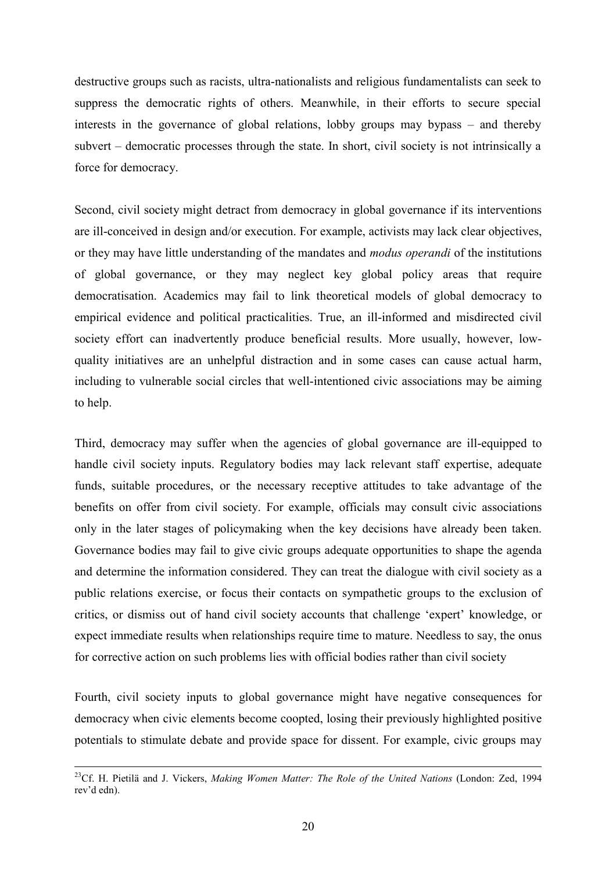destructive groups such as racists, ultra-nationalists and religious fundamentalists can seek to suppress the democratic rights of others. Meanwhile, in their efforts to secure special interests in the governance of global relations, lobby groups may bypass – and thereby subvert – democratic processes through the state. In short, civil society is not intrinsically a force for democracy.

Second, civil society might detract from democracy in global governance if its interventions are ill-conceived in design and/or execution. For example, activists may lack clear objectives, or they may have little understanding of the mandates and *modus operandi* of the institutions of global governance, or they may neglect key global policy areas that require democratisation. Academics may fail to link theoretical models of global democracy to empirical evidence and political practicalities. True, an ill-informed and misdirected civil society effort can inadvertently produce beneficial results. More usually, however, lowquality initiatives are an unhelpful distraction and in some cases can cause actual harm, including to vulnerable social circles that well-intentioned civic associations may be aiming to help.

Third, democracy may suffer when the agencies of global governance are ill-equipped to handle civil society inputs. Regulatory bodies may lack relevant staff expertise, adequate funds, suitable procedures, or the necessary receptive attitudes to take advantage of the benefits on offer from civil society. For example, officials may consult civic associations only in the later stages of policymaking when the key decisions have already been taken. Governance bodies may fail to give civic groups adequate opportunities to shape the agenda and determine the information considered. They can treat the dialogue with civil society as a public relations exercise, or focus their contacts on sympathetic groups to the exclusion of critics, or dismiss out of hand civil society accounts that challenge 'expert' knowledge, or expect immediate results when relationships require time to mature. Needless to say, the onus for corrective action on such problems lies with official bodies rather than civil society

Fourth, civil society inputs to global governance might have negative consequences for democracy when civic elements become coopted, losing their previously highlighted positive potentials to stimulate debate and provide space for dissent. For example, civic groups may

 <sup>23</sup>Cf. H. Pietilä and J. Vickers, *Making Women Matter: The Role of the United Nations* (London: Zed, 1994 rev'd edn).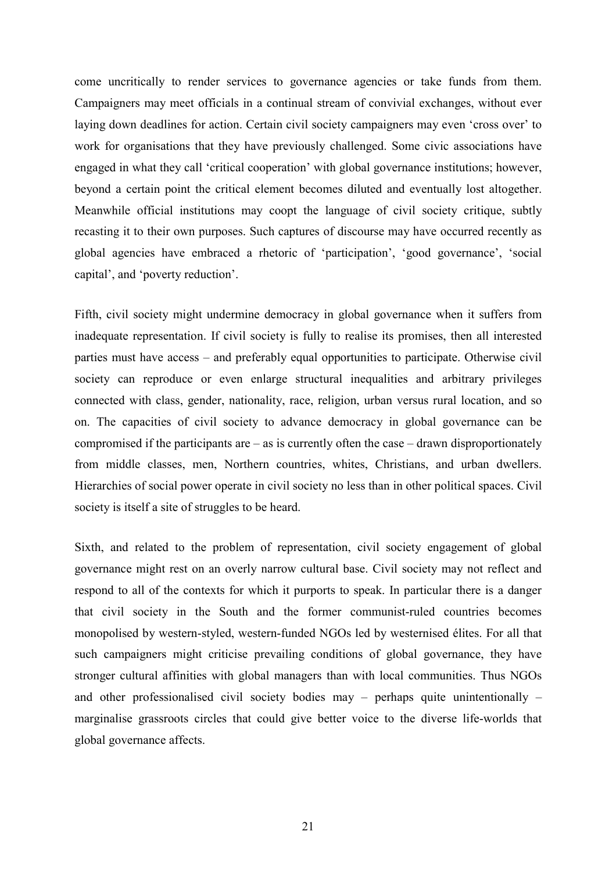come uncritically to render services to governance agencies or take funds from them. Campaigners may meet officials in a continual stream of convivial exchanges, without ever laying down deadlines for action. Certain civil society campaigners may even 'cross over' to work for organisations that they have previously challenged. Some civic associations have engaged in what they call 'critical cooperation' with global governance institutions; however, beyond a certain point the critical element becomes diluted and eventually lost altogether. Meanwhile official institutions may coopt the language of civil society critique, subtly recasting it to their own purposes. Such captures of discourse may have occurred recently as global agencies have embraced a rhetoric of 'participation', 'good governance', 'social capital', and 'poverty reduction'.

Fifth, civil society might undermine democracy in global governance when it suffers from inadequate representation. If civil society is fully to realise its promises, then all interested parties must have access – and preferably equal opportunities to participate. Otherwise civil society can reproduce or even enlarge structural inequalities and arbitrary privileges connected with class, gender, nationality, race, religion, urban versus rural location, and so on. The capacities of civil society to advance democracy in global governance can be compromised if the participants are – as is currently often the case – drawn disproportionately from middle classes, men, Northern countries, whites, Christians, and urban dwellers. Hierarchies of social power operate in civil society no less than in other political spaces. Civil society is itself a site of struggles to be heard.

Sixth, and related to the problem of representation, civil society engagement of global governance might rest on an overly narrow cultural base. Civil society may not reflect and respond to all of the contexts for which it purports to speak. In particular there is a danger that civil society in the South and the former communist-ruled countries becomes monopolised by western-styled, western-funded NGOs led by westernised élites. For all that such campaigners might criticise prevailing conditions of global governance, they have stronger cultural affinities with global managers than with local communities. Thus NGOs and other professionalised civil society bodies may – perhaps quite unintentionally – marginalise grassroots circles that could give better voice to the diverse life-worlds that global governance affects.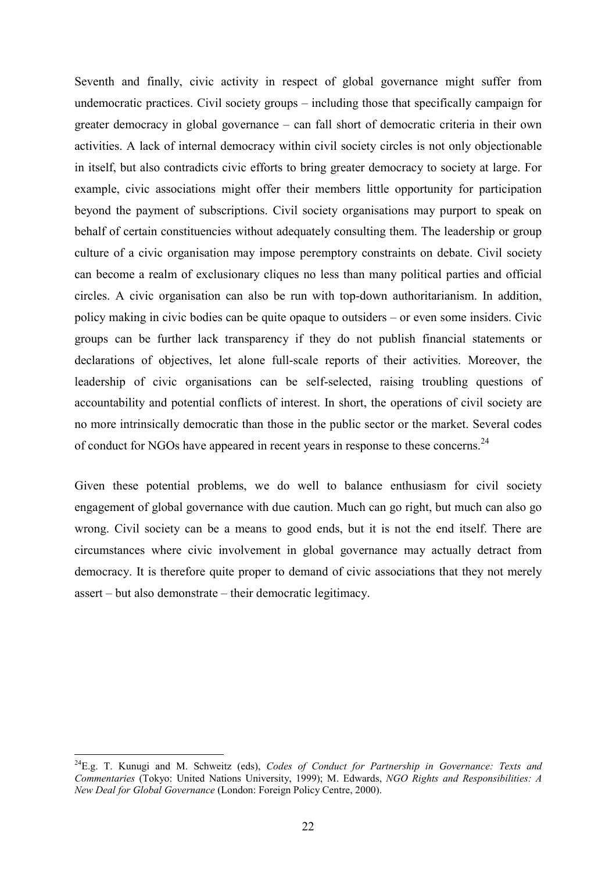Seventh and finally, civic activity in respect of global governance might suffer from undemocratic practices. Civil society groups – including those that specifically campaign for greater democracy in global governance – can fall short of democratic criteria in their own activities. A lack of internal democracy within civil society circles is not only objectionable in itself, but also contradicts civic efforts to bring greater democracy to society at large. For example, civic associations might offer their members little opportunity for participation beyond the payment of subscriptions. Civil society organisations may purport to speak on behalf of certain constituencies without adequately consulting them. The leadership or group culture of a civic organisation may impose peremptory constraints on debate. Civil society can become a realm of exclusionary cliques no less than many political parties and official circles. A civic organisation can also be run with top-down authoritarianism. In addition, policy making in civic bodies can be quite opaque to outsiders – or even some insiders. Civic groups can be further lack transparency if they do not publish financial statements or declarations of objectives, let alone full-scale reports of their activities. Moreover, the leadership of civic organisations can be self-selected, raising troubling questions of accountability and potential conflicts of interest. In short, the operations of civil society are no more intrinsically democratic than those in the public sector or the market. Several codes of conduct for NGOs have appeared in recent years in response to these concerns.<sup>24</sup>

Given these potential problems, we do well to balance enthusiasm for civil society engagement of global governance with due caution. Much can go right, but much can also go wrong. Civil society can be a means to good ends, but it is not the end itself. There are circumstances where civic involvement in global governance may actually detract from democracy. It is therefore quite proper to demand of civic associations that they not merely assert – but also demonstrate – their democratic legitimacy.

 $\overline{a}$ 

<sup>24</sup>E.g. T. Kunugi and M. Schweitz (eds), *Codes of Conduct for Partnership in Governance: Texts and Commentaries* (Tokyo: United Nations University, 1999); M. Edwards, *NGO Rights and Responsibilities: A New Deal for Global Governance* (London: Foreign Policy Centre, 2000).